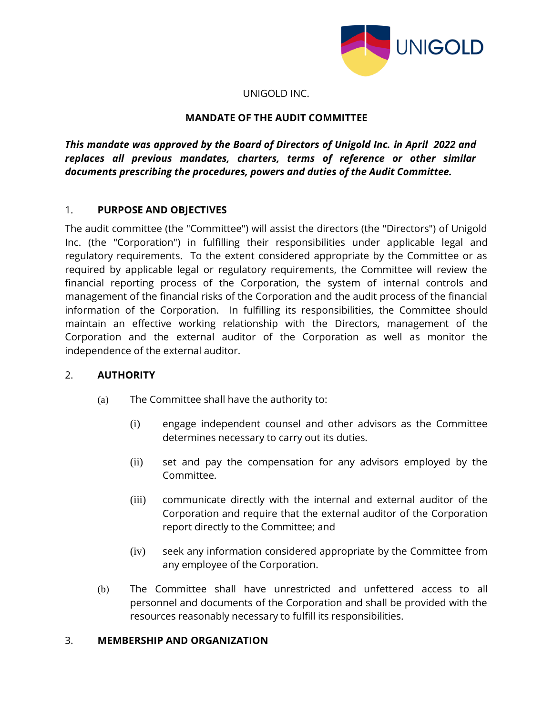

#### UNIGOLD INC.

## **MANDATE OF THE AUDIT COMMITTEE**

*This mandate was approved by the Board of Directors of Unigold Inc. in April 2022 and replaces all previous mandates, charters, terms of reference or other similar documents prescribing the procedures, powers and duties of the Audit Committee.*

### 1. **PURPOSE AND OBJECTIVES**

The audit committee (the "Committee") will assist the directors (the "Directors") of Unigold Inc. (the "Corporation") in fulfilling their responsibilities under applicable legal and regulatory requirements. To the extent considered appropriate by the Committee or as required by applicable legal or regulatory requirements, the Committee will review the financial reporting process of the Corporation, the system of internal controls and management of the financial risks of the Corporation and the audit process of the financial information of the Corporation. In fulfilling its responsibilities, the Committee should maintain an effective working relationship with the Directors, management of the Corporation and the external auditor of the Corporation as well as monitor the independence of the external auditor.

## 2. **AUTHORITY**

- (a) The Committee shall have the authority to:
	- (i) engage independent counsel and other advisors as the Committee determines necessary to carry out its duties.
	- (ii) set and pay the compensation for any advisors employed by the Committee.
	- (iii) communicate directly with the internal and external auditor of the Corporation and require that the external auditor of the Corporation report directly to the Committee; and
	- (iv) seek any information considered appropriate by the Committee from any employee of the Corporation.
- (b) The Committee shall have unrestricted and unfettered access to all personnel and documents of the Corporation and shall be provided with the resources reasonably necessary to fulfill its responsibilities.

#### 3. **MEMBERSHIP AND ORGANIZATION**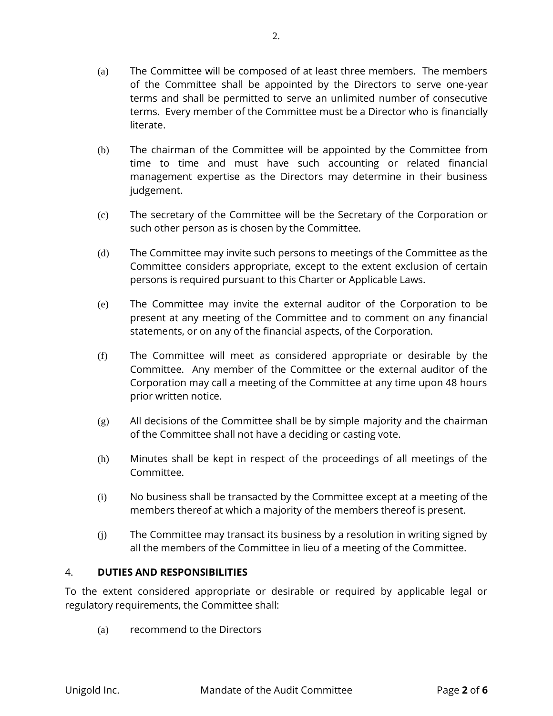- (a) The Committee will be composed of at least three members. The members of the Committee shall be appointed by the Directors to serve one-year terms and shall be permitted to serve an unlimited number of consecutive terms. Every member of the Committee must be a Director who is financially literate.
- (b) The chairman of the Committee will be appointed by the Committee from time to time and must have such accounting or related financial management expertise as the Directors may determine in their business judgement.
- (c) The secretary of the Committee will be the Secretary of the Corporation or such other person as is chosen by the Committee.
- (d) The Committee may invite such persons to meetings of the Committee as the Committee considers appropriate, except to the extent exclusion of certain persons is required pursuant to this Charter or Applicable Laws.
- (e) The Committee may invite the external auditor of the Corporation to be present at any meeting of the Committee and to comment on any financial statements, or on any of the financial aspects, of the Corporation.
- (f) The Committee will meet as considered appropriate or desirable by the Committee. Any member of the Committee or the external auditor of the Corporation may call a meeting of the Committee at any time upon 48 hours prior written notice.
- $(g)$  All decisions of the Committee shall be by simple majority and the chairman of the Committee shall not have a deciding or casting vote.
- (h) Minutes shall be kept in respect of the proceedings of all meetings of the Committee.
- (i) No business shall be transacted by the Committee except at a meeting of the members thereof at which a majority of the members thereof is present.
- (j) The Committee may transact its business by a resolution in writing signed by all the members of the Committee in lieu of a meeting of the Committee.

## 4. **DUTIES AND RESPONSIBILITIES**

To the extent considered appropriate or desirable or required by applicable legal or regulatory requirements, the Committee shall:

(a) recommend to the Directors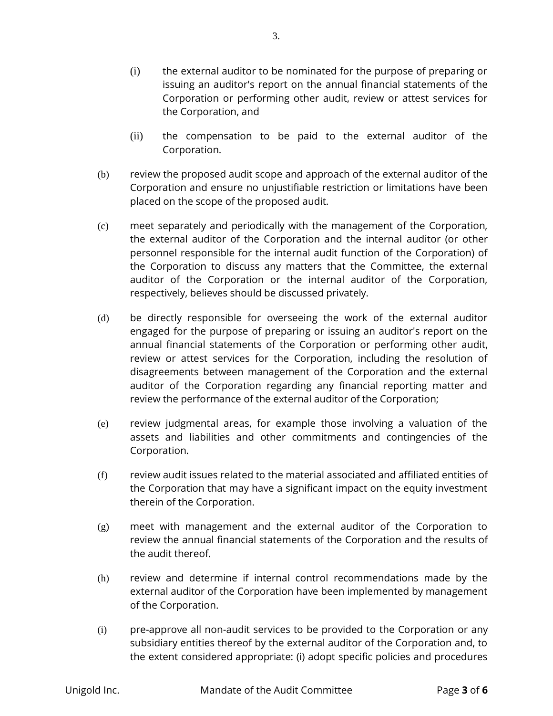- (i) the external auditor to be nominated for the purpose of preparing or issuing an auditor's report on the annual financial statements of the Corporation or performing other audit, review or attest services for the Corporation, and
- (ii) the compensation to be paid to the external auditor of the Corporation.
- (b) review the proposed audit scope and approach of the external auditor of the Corporation and ensure no unjustifiable restriction or limitations have been placed on the scope of the proposed audit.
- (c) meet separately and periodically with the management of the Corporation, the external auditor of the Corporation and the internal auditor (or other personnel responsible for the internal audit function of the Corporation) of the Corporation to discuss any matters that the Committee, the external auditor of the Corporation or the internal auditor of the Corporation, respectively, believes should be discussed privately.
- (d) be directly responsible for overseeing the work of the external auditor engaged for the purpose of preparing or issuing an auditor's report on the annual financial statements of the Corporation or performing other audit, review or attest services for the Corporation, including the resolution of disagreements between management of the Corporation and the external auditor of the Corporation regarding any financial reporting matter and review the performance of the external auditor of the Corporation;
- (e) review judgmental areas, for example those involving a valuation of the assets and liabilities and other commitments and contingencies of the Corporation.
- (f) review audit issues related to the material associated and affiliated entities of the Corporation that may have a significant impact on the equity investment therein of the Corporation.
- (g) meet with management and the external auditor of the Corporation to review the annual financial statements of the Corporation and the results of the audit thereof.
- (h) review and determine if internal control recommendations made by the external auditor of the Corporation have been implemented by management of the Corporation.
- (i) pre-approve all non-audit services to be provided to the Corporation or any subsidiary entities thereof by the external auditor of the Corporation and, to the extent considered appropriate: (i) adopt specific policies and procedures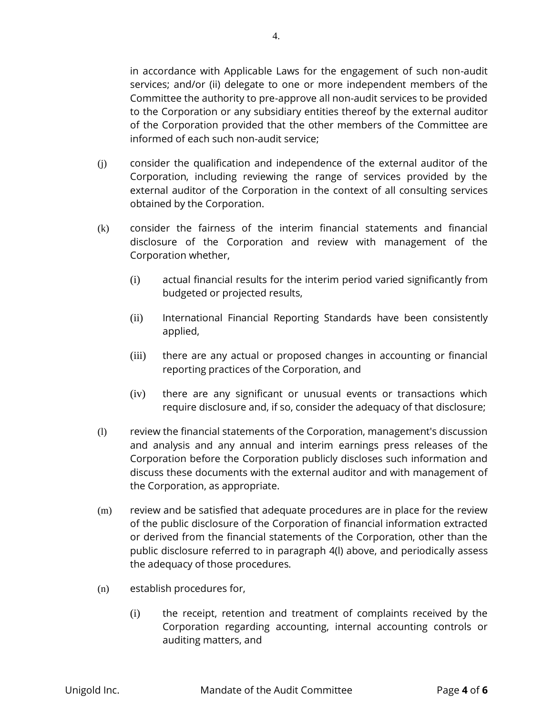in accordance with Applicable Laws for the engagement of such non-audit services; and/or (ii) delegate to one or more independent members of the Committee the authority to pre-approve all non-audit services to be provided to the Corporation or any subsidiary entities thereof by the external auditor of the Corporation provided that the other members of the Committee are informed of each such non-audit service;

- (j) consider the qualification and independence of the external auditor of the Corporation, including reviewing the range of services provided by the external auditor of the Corporation in the context of all consulting services obtained by the Corporation.
- (k) consider the fairness of the interim financial statements and financial disclosure of the Corporation and review with management of the Corporation whether,
	- (i) actual financial results for the interim period varied significantly from budgeted or projected results,
	- (ii) International Financial Reporting Standards have been consistently applied,
	- (iii) there are any actual or proposed changes in accounting or financial reporting practices of the Corporation, and
	- (iv) there are any significant or unusual events or transactions which require disclosure and, if so, consider the adequacy of that disclosure;
- (l) review the financial statements of the Corporation, management's discussion and analysis and any annual and interim earnings press releases of the Corporation before the Corporation publicly discloses such information and discuss these documents with the external auditor and with management of the Corporation, as appropriate.
- (m) review and be satisfied that adequate procedures are in place for the review of the public disclosure of the Corporation of financial information extracted or derived from the financial statements of the Corporation, other than the public disclosure referred to in paragraph 4(l) above, and periodically assess the adequacy of those procedures.
- (n) establish procedures for,
	- (i) the receipt, retention and treatment of complaints received by the Corporation regarding accounting, internal accounting controls or auditing matters, and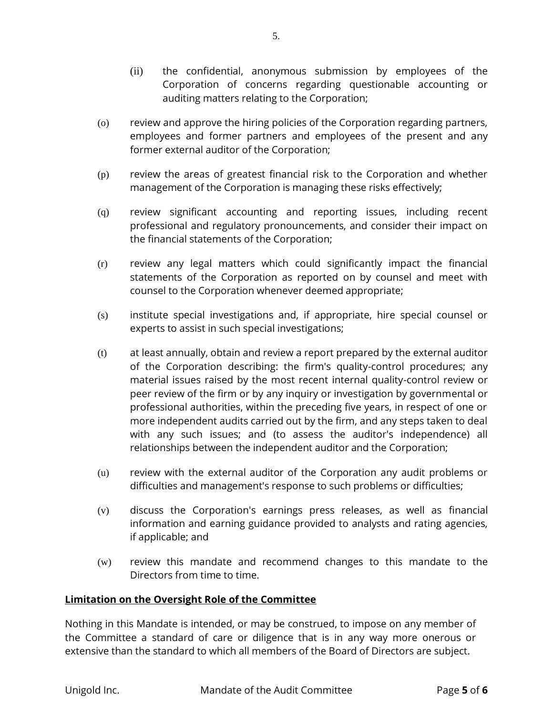- (ii) the confidential, anonymous submission by employees of the Corporation of concerns regarding questionable accounting or auditing matters relating to the Corporation;
- (o) review and approve the hiring policies of the Corporation regarding partners, employees and former partners and employees of the present and any former external auditor of the Corporation;
- (p) review the areas of greatest financial risk to the Corporation and whether management of the Corporation is managing these risks effectively;
- (q) review significant accounting and reporting issues, including recent professional and regulatory pronouncements, and consider their impact on the financial statements of the Corporation;
- (r) review any legal matters which could significantly impact the financial statements of the Corporation as reported on by counsel and meet with counsel to the Corporation whenever deemed appropriate;
- (s) institute special investigations and, if appropriate, hire special counsel or experts to assist in such special investigations;
- (t) at least annually, obtain and review a report prepared by the external auditor of the Corporation describing: the firm's quality-control procedures; any material issues raised by the most recent internal quality-control review or peer review of the firm or by any inquiry or investigation by governmental or professional authorities, within the preceding five years, in respect of one or more independent audits carried out by the firm, and any steps taken to deal with any such issues; and (to assess the auditor's independence) all relationships between the independent auditor and the Corporation;
- (u) review with the external auditor of the Corporation any audit problems or difficulties and management's response to such problems or difficulties;
- (v) discuss the Corporation's earnings press releases, as well as financial information and earning guidance provided to analysts and rating agencies, if applicable; and
- (w) review this mandate and recommend changes to this mandate to the Directors from time to time.

## **Limitation on the Oversight Role of the Committee**

Nothing in this Mandate is intended, or may be construed, to impose on any member of the Committee a standard of care or diligence that is in any way more onerous or extensive than the standard to which all members of the Board of Directors are subject.